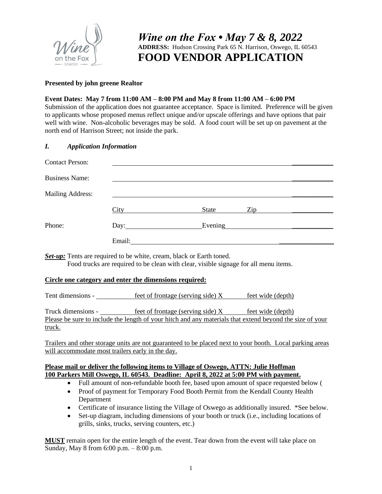

# *Wine on the Fox • May 7 & 8, 2022* **ADDRESS:** Hudson Crossing Park 65 N. Harrison, Oswego, IL 60543 **FOOD VENDOR APPLICATION**

### **Presented by john greene Realtor**

### **Event Dates: May 7 from 11:00 AM – 8:00 PM and May 8 from 11:00 AM – 6:00 PM**

Submission of the application does not guarantee acceptance. Space is limited. Preference will be given to applicants whose proposed menus reflect unique and/or upscale offerings and have options that pair well with wine. Non-alcoholic beverages may be sold. A food court will be set up on pavement at the north end of Harrison Street; not inside the park.

### *I. Application Information*

| <b>Contact Person:</b> |                                                                             |                                                                                      |  |
|------------------------|-----------------------------------------------------------------------------|--------------------------------------------------------------------------------------|--|
| <b>Business Name:</b>  |                                                                             |                                                                                      |  |
| Mailing Address:       |                                                                             |                                                                                      |  |
|                        | City                                                                        | Zip<br>State                                                                         |  |
| Phone:                 | Day: $\qquad \qquad$                                                        | Evening                                                                              |  |
|                        | Email:                                                                      |                                                                                      |  |
|                        | <b>Set-up:</b> Tents are required to be white, cream, black or Earth toned. | Food trucks are required to be clean with clear, visible signage for all menu items. |  |

#### **Circle one category and enter the dimensions required:**

Tent dimensions -  $\frac{\text{feet of frontage (serving side)} X \text{ feet wide (depth)}}{1}$ 

Truck dimensions - feet of frontage (serving side)  $X$  feet wide (depth) Please be sure to include the length of your hitch and any materials that extend beyond the size of your truck.

Trailers and other storage units are not guaranteed to be placed next to your booth. Local parking areas will accommodate most trailers early in the day.

### **Please mail or deliver the following items to Village of Oswego, ATTN: Julie Hoffman 100 Parkers Mill Oswego, IL 60543. Deadline: April 8, 2022 at 5:00 PM with payment.**

- Full amount of non-refundable booth fee, based upon amount of space requested below (
- Proof of payment for Temporary Food Booth Permit from the Kendall County Health Department
- Certificate of insurance listing the Village of Oswego as additionally insured. \*See below.
- Set-up diagram, including dimensions of your booth or truck (i.e., including locations of grills, sinks, trucks, serving counters, etc.)

**MUST** remain open for the entire length of the event. Tear down from the event will take place on Sunday, May 8 from 6:00 p.m. – 8:00 p.m.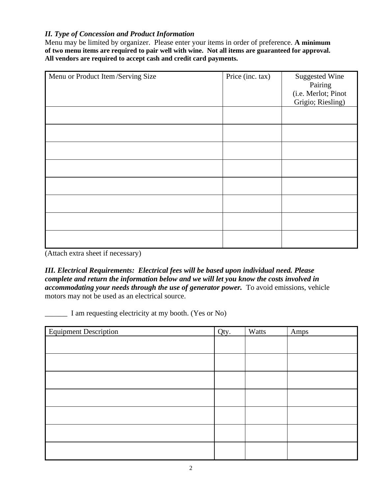## *II. Type of Concession and Product Information*

Menu may be limited by organizer. Please enter your items in order of preference. **A minimum of two menu items are required to pair well with wine. Not all items are guaranteed for approval. All vendors are required to accept cash and credit card payments.** 

| Menu or Product Item/Serving Size | Price (inc. tax) | <b>Suggested Wine</b><br>Pairing<br>(i.e. Merlot; Pinot<br>Grigio; Riesling) |
|-----------------------------------|------------------|------------------------------------------------------------------------------|
|                                   |                  |                                                                              |
|                                   |                  |                                                                              |
|                                   |                  |                                                                              |
|                                   |                  |                                                                              |
|                                   |                  |                                                                              |
|                                   |                  |                                                                              |
|                                   |                  |                                                                              |
|                                   |                  |                                                                              |

(Attach extra sheet if necessary)

*III. Electrical Requirements: Electrical fees will be based upon individual need. Please complete and return the information below and we will let you know the costs involved in accommodating your needs through the use of generator power.* To avoid emissions, vehicle motors may not be used as an electrical source.

\_\_\_\_\_\_ I am requesting electricity at my booth. (Yes or No)

| <b>Equipment Description</b> | Qty. | Watts | Amps |
|------------------------------|------|-------|------|
|                              |      |       |      |
|                              |      |       |      |
|                              |      |       |      |
|                              |      |       |      |
|                              |      |       |      |
|                              |      |       |      |
|                              |      |       |      |
|                              |      |       |      |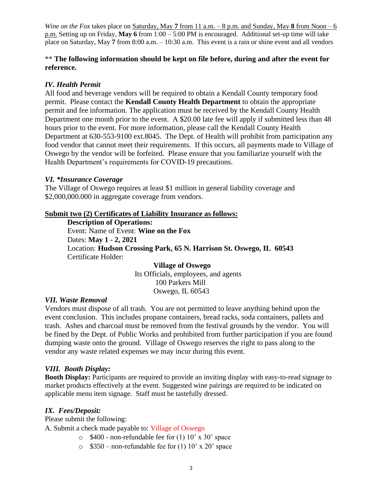*Wine on the Fox* takes place on <u>Saturday, May 7 from 11 a.m. – 8 p.m. and Sunday, May 8 from Noon – 6</u> p.m. Setting up on Friday, **May 6** from 1:00 – 5:00 PM is encouraged. Additional set-up time will take place on Saturday, May **7** from 8:00 a.m. – 10:30 a.m. This event is a rain or shine event and all vendors

## \*\* The following information should be kept on file before, during and after the event for **reference.**

## *IV. Health Permit*

All food and beverage vendors will be required to obtain a Kendall County temporary food permit. Please contact the **Kendall County Health Department** to obtain the appropriate permit and fee information. The application must be received by the Kendall County Health Department one month prior to the event. A \$20.00 late fee will apply if submitted less than 48 hours prior to the event. For more information, please call the Kendall County Health Department at 630-553-9100 ext.8045. The Dept. of Health will prohibit from participation any food vendor that cannot meet their requirements. If this occurs, all payments made to Village of Oswego by the vendor will be forfeited. Please ensure that you familiarize yourself with the Health Department's requirements for COVID-19 precautions.

## *VI. \*Insurance Coverage*

The Village of Oswego requires at least \$1 million in general liability coverage and \$2,000,000.000 in aggregate coverage from vendors.

## **Submit two (2) Certificates of Liability Insurance as follows:**

**Description of Operations:**  Event: Name of Event: **Wine on the Fox**  Dates: **May 1 - 2, 2021** Location: **Hudson Crossing Park, 65 N. Harrison St. Oswego, IL 60543** Certificate Holder:

> **Village of Oswego** Its Officials, employees, and agents 100 Parkers Mill Oswego, IL 60543

### *VII. Waste Removal*

Vendors must dispose of all trash. You are not permitted to leave anything behind upon the event conclusion. This includes propane containers, bread racks, soda containers, pallets and trash. Ashes and charcoal must be removed from the festival grounds by the vendor. You will be fined by the Dept. of Public Works and prohibited from further participation if you are found dumping waste onto the ground. Village of Oswego reserves the right to pass along to the vendor any waste related expenses we may incur during this event.

## *VIII. Booth Display:*

**Booth Display:** Participants are required to provide an inviting display with easy-to-read signage to market products effectively at the event. Suggested wine pairings are required to be indicated on applicable menu item signage. Staff must be tastefully dressed.

### *IX. Fees/Deposit:*

Please submit the following:

A. Submit a check made payable to: Village of Oswego

- $\degree$  \$400 non-refundable fee for (1) 10' x 30' space
- $\degree$  \$350 non-refundable fee for (1) 10' x 20' space